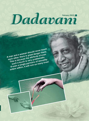# Dadavani

A man and a woman should never touch each other, there is great danger there. This is because the attribute of even such a touch is very problematic. If even a single parmanu of sexuality enters within, it will ruin so many lives!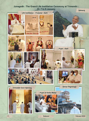#### Junagadh : The Grand Life Instillation Ceremony at Trimandir : Dt. 7 to 9 January



Dadavani

February 2022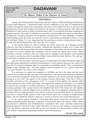**Editor : Dimple Mehta February 2022 Pages - 36**

## **DADAVANI**

#### **The Illusory Belief of the Pleasure of Touch**

#### **EDITORIAL**

Along with attaining *Akram Vignan* (the step-less Science of Self-realization) of absolutely revered Dada Bhagwan, if unmarried people become established in the goal of *brahmacharya*  (celibacy through the mind, body, and speech), then that will be helpful for them to ascend in the progression of *Gnan* (Knowledge of the Self) for the purpose of experiencing the Self. After the formation of a firm resolve to practice *brahmacharya*, there is one question that keeps troubling the spiritual aspirant: The resolve is definite, yet internally, sexual thoughts arise, there is restlessness, dwelling [on sexuality], the desire for the pleasure of touch arises. For that, Dadashri's scientific understanding states that when once the firm resolve of practicing *brahmacharya* forms, it does not end there. Rather, it is very important that the awareness to practice *brahmacharya* arises. It is only then that *brahmacharya* will come into one's conduct.

In the current edition, in order to fracture the belief, which has set in through societal influence, that there is pleasure in sexuality, Dadashri has explained sexuality as it is. Thus, that belief should now be excised! If the *chit* (inner component of knowledge and vision) comes across sexuality even in the slightest, then steadiness will not remain for a great span of time. While touching a woman, awareness does not remain and one indulges in the pleasure. And touching a woman is so poisonous that it promptly deludes (*moorchhit*) the mind, intellect, *chit*, and ego. At that time, it indeed turns one into an animal.

The one who has made a resolve to practice *brahmacharya* the entire life and has taken on the unflinching commitment to practice *brahmacharya*, if such a person slips just once, then he is done for. If a sexual act happens, then it is equivalent to committing suicide. There is tremendous danger in that. Dadashri says, "All other mistakes can be accepted, but 'we' cannot accept this; 'our' gaze becomes very stern in that situation."

It is necessary to acquire the capability to skillfully get rid of the inner and the outer evidence [of sexuality] for the 'safe-side' of *brahmacharya*. The sexual intents that arise internally can be dissolved through the awakened awareness (*jagruti*) of the Science through *Purusharth*  (progress as the Self). The *jagruti* of the Science includes [Knowing], 'Who am I? What is sexuality and what are the consequences of it?' As a result of such analysis, the internal subtle sexual intents also wane. On the other hand, with regard to the external circumstances, it is essential to develop the awareness in worldly interactions of staying away from *sparshdosh* (the fault of touching someone with a sexual intent) and *sangdosh* (the fault of the sexual act with another person)*.* Otherwise, with the slightest lack of awareness, there is no telling how deep the ditch of sexuality that one might get thrown into will be! To practice pure *brahmacharya*, it is absolutely necessary to remain in the vicinity of the *Gnani Purush* and in the company of *brahmacharis*  (those who are unmarried and have taken up a resolve to practice life-long *brahmacharya*).

In the current edition, Dadashri's Knowledge-laden speech shows the red signal for the illusion generating beliefs that there is pleasure in touch and it shows the danger of them. When one practices completely pure *brahmacharya*, tremendous bliss arises, and thus commences bringing about the salvation of the world with purity. For the one who wants to experience the clear and distinct experience of the Self in this very lifetime, it is not possible to achieve this goal without continuously practicing absolutely pure *brahmacharya*.

**~ Jai Sat Chit Anand**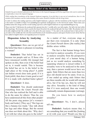#### **The Illusory Belief of the Pleasure of Touch**

*Dadashri has given detailed explanations for this Science in the Gujarati language and He has urged those who want to understand its depth fully, to learn the Gujarati language.*

*While reading these translations of the Gujarati Dadavani magazine, if you feel there is any sort of contradiction, then it is the mistake of the translators and the understanding of the matter should be clarified with the living Gnani.* 

*In order to enhance the reading experience of the English Dadavani, a glossary with the translations of the Gujarati words used in the matter is available on https://www.dadabhagwan.org/books-media/glossary/ on the internet for readers. Please share your feedback about this change and the overall reading experience of the English Dadavani on engvani@dadabhagwan.org.* 

*Please note that 'S' Self denotes the awakened Self, separate from the 's' worldly self or non-Self complex. The Self is the Soul within* all living beings. The term pure Soul is used by the Gnani Purush for the awakened Self, after the Gnan Vidhi. The absolute Soul is the fully enlightened Self. The worldly soul is the self. In the same manner, 'Y' You refers to the awakened Soul or Self, and the 'y' *you refers to the worldly self. Also note that round brackets are for translation purposes and square brackets are for clarity that has been added in English which is not originally present in Gujarati.*

#### **Dispassion Arises by Analyzing Sexuality**

**Questioner:** How can we get rid of the belief that there is pleasure in touching a woman?

**Dadashri:** That belief has set in because ten people said so. If those who have renounced worldly life (*tyaagi*) had spoken on this, then even if the belief had set in, it would vanish. This is because the belief has set in. Is the belief in the right place or the wrong place? A *jalebi* (an Indian sweet) does taste good; if it is fresh *jalebi*, then does it taste good or not? If it is made with clarified butter (*ghee*)?

**Questioner:** It does.

**Dadashri:** You should understand everything from the *Gnani Purush* (the One who has realized the Self and is able to do the same for others). Thus far, you have understood all this from other people! All the poets sing praises [of a woman's body and looks]. [They say,] "Her legs are like a banana tree trunk," they talk about her legs and other things. But the mortal one does not think about this: 'Why don't I sit with her when she goes to the toilet?' As a matter of fact, everyone sings as per their own viewpoint. It is only when the *Gnani Purush* shows [the reality] that dislike arises within.

The fact is that human beings have not tried to analyze sexuality. If you were to analyze sexuality from the perspective of your moral duty of a human being, just as we would analyze something by separating whatever is mixed within it, if sexuality were to be analyzed in the same way, then a person would never have sex again. Stale fritters that are more than two days old should never be eaten. Even so, if one ended up eating stale fritters that are three months old, he would still remain alive, but if he has sex, then he will not stay alive. Sexuality is the kind of thing that if it were analyzed, then one would continually remain dispassionate (*vairaag*).

Do you know how to analyze sexuality?

**Questioner:** No, I don't, please tell me.

**Dadashri:** Analysis means that, is sex something that you would like [looking at it] with your eyes? Would you like to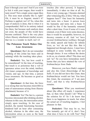hear it through your ears? And if you were to lick it with your tongue, then would it taste sweet? Not a single sense organ likes it. This nose must actually like it, right? Oh, it must be so fragrant, mustn't it? Perfume is applied, isn't it? So, when this type of analysis is done, that is when it is comprehended. Hell in its entirety indeed lies there, but because such analysis does not exist, the people of this world have become confused. That is the very place where illusory attachment (*moha*) occurs; that too is a wonder in itself, isn't it!

#### **The Poisonous Touch Makes One Lose Awareness**

**Questioner:** But I do not remember anything of this [what has been said in *satsang*] while the touching takes place.

**Dadashri:** Yes, but how could it be remembered? At the time of touching, that touch is so poisonous that a veil of ignorance arises over the mind, intellect, *chit* (inner component of knowledge and vision), and ego. At that time, a person loses awareness. He becomes as good as an animal!

**Questioner:** At that time, the force is so strong that one becomes *moorchhit* (a state of unawareness arising from illusory attachment) because of it.

**Dadashri:** Yes! The fact is, a person becomes intoxicated after drinking alcohol, whereas in this case, the intoxication arises simply upon touching. In the case of alcohol, the mental functioning becomes hindered half an hour after consuming alcohol, whereas in the other case, the intoxication arises as soon as the hand

touches [the other person]. It happens immediately, it takes no time at all. So, from a very young age, I became alarmed after witnessing this, [I felt,] 'Oh my, what happens here?!' One loses his humanity and turns into a beast. A person loses his humanity and turns into a beast. It would be fine if the humanity returned after a short time. Even if some of it were retained, even if there were some decency, then it would be acceptable; however, no decency remains at all. And 'we' have revered *brahmacharya* (celibacy through the mind, speech and body) for infinite lives, so 'we' do not like this. But it happened not through choice. I must have indulged in some worldly life, but not through choice. It was without the desire to do so, as a karmic effect! This does not suit 'us'! So you have tremendous merit karma that you have attained the vow of *brahmacharya* from Dada.

Moreover, you have Dada's support and also this *Gnan* (Knowledge of the Self). If you did not have this *Gnan*, then *brahmacharya* would not last. You have this *Gnan*, the awareness of 'I am pure Soul', and that is why *brahmacharya* remains.

**Questioner:** What you mentioned about [the effect of] touch, I experience that, so then what should I do? What is the solution for it? So I do know that there is no happiness in touch, but when the actual act of touching happens, I feel pleasure in that.

**Dadashri:** That may be so, but You instantly get rid of it, don't You; what does it have to do with You? That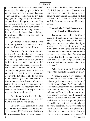pleasure was felt because of your belief. Otherwise, for other people, it feels like poison the moment the touching happens. There are some people who do not even engage in touching. They will not touch a woman; it feels like poison to them. This is because they have nurtured such an intent. Others have filled such stock that they find pleasure in touching. These two [types of people] have filled a different kind of stock. That is why they feel like this in this life.

**Questioner:** There is no real pleasure in it, but it [pleasure] is there for a limited time, yet it does not let up, does it!

**Dadashri:** No, there is no pleasure in it at all! It is only a belief! It is simply a belief of foolish people! If you rub one hand against another and pleasure is felt, then you can understand that this is completely clean pleasure, but sex is indeed nothing but filth! If ever an intellectual person were to deduce a conclusion of its filth, then he would not go towards that filth at all! If you have to eat bananas right now, then there is no filth in that and there is actual pleasure in eating them; but in this case, sheer filth is actually deemed pleasurable. On what account one believes it to be pleasurable; that, too, is not understood!

**Questioner:** It is believed that there is the utmost pleasure in sex; on what basis is this believed to be so?

**Dadashri:** That particular pleasure that he has experienced, and he has not seen pleasure [bliss] elsewhere; that is why he experiences a lot of pleasure in sex. If a closer look is taken, then the greatest of all filth lies right there. However, due to that pleasure, one enters into a state of complete unawareness. Therefore, he does not realize this. If sex can be understood as filth, then its pleasure would entirely vanish.

#### **Through the Veiled Perception, One Imagines Happiness**

People are involved in the filth of sexuality! If the lights are turned on during sexual activity, then they do not like it. They become alarmed when the lights are turned on. That is why they keep the room dark. If the lights are turned on, then one would not like to see the body part where sex takes place. So what has Krupaludev [Self-realized *Gnani* who lived between 1867-1901; also known as Shrimad Rajchandra] written about that body part?

What is written in Krupaludev's letter? 'My thoughts regarding women.'

"Through very, very composed contemplation, it has become evident that uninterrupted bliss exists on the basis of pure Knowledge (*shuddha Gnan*), and that is why absolute *samadhi* (bliss of freedom from mental, physical, and externallyinduced suffering) only exists there. It is merely through veiled perception (*avaranik drashti*) that women have been envisioned to be the topmost pleasure of worldly life, but that is definitely not so. With discretion, when perceiving the location through which the pleasure of union with a woman is taken, then that place is not even worthy to vomit on."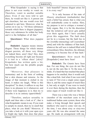What Krupaludev is saying is that place is not even worthy to vomit on. Therefore, vomit in another suitable place. Even if one were told to spit there, he would not like it. A person can spit elsewhere, but one would even feel ashamed to spit here. Moreover, what he carries on to say is, "All those substances towards which there is disgust (*jugupsa*), those very substances lie within her body and it is the birthplace of all that."

**Questioner:** What does *jugupsa* mean?

**Dadashri:** *Jugupsa* means intense disgust. Those things for which intense disgust persists, all those very things are indeed there, aren't they! Hey, does everything become all right just because it is tied in a 'silken sheet' [skin]? Krupaludev has written quite a lot, but how much can the pitiable people understand?

"Moreover, that pleasure is momentary and in the form of nothing but a skin disease and remorse. As the image of that moment is etched in my heart, it makes me laugh, 'What is this deception?' In short, it suffices to say that there is no pleasure in it whatsoever, and if there were happiness in it, then try to describe it in its entirety (*aparichhed*)."

"Therefore, analyze sexuality in depth and then take a look at it"; that is what Krupaludev means to say. If you want to sample its stench, then try to smell that place; what do you think? Moreover, if you take a look at it with your open eyes in bright day light, then does that place look beautiful? Intense disgust arises for it in every way!"

"It is only because of the state of illusory attachment (*mohadasha*) that such a belief has arisen; that is what you will undoubtedly come to realize. Here, my purpose is not to critique a woman's body organs. But, it is for the discretion that the [relative] self never gets pulled over there again, that I have casually given this suggestion. The fault does not lie in a woman, but the fault lies in the [worldly-interacting] self [*vyavahaar atma*] and with the riddance of that fault, whatever the self sees is indeed filled with extraordinary bliss; therefore, the ultimate yearning is to become free of that fault."

**Questioner:** How much He [Krupaludev] must have Seen!

**Dadashri:** The *Gnanis* have Seen that. For one thing, the eyes do not like it, nor do the ears like it. To the nose, it stinks. If a hand that has touched that place happens to be smelled, then it would reek like a dead fish. And what if one were told to taste it? Not even a single sense organ likes it, and the sense organ of touch likes it, but only at night. If one were to touch it over there during the daytime, then the sense organ of touch would not like it.

There was a man who was a *Vaniya* (member of the merchant caste in the traditional Indian caste system; those who make a living through their speech and intellect) who used to come visit me. At the time, I was about sixty or sixty-two years old. He was also around the same age. He made an arrangement with me.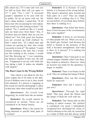[He asked me,] "If I come and visit you for half an hour, then will you agree to it?" I said, "Yes, I will." It increased people's reputation to be seen with me in public. So he sat down with me. He had a sharp intellect. I asked him, "If all these men who are passing by were naked, then would you like looking at them?" He replied, "No, I would not like it. I would turn my head away from them." Hey, if all those men are naked, then are you not naked too? You look good just because you are covered up [with clothes]! So then I asked him, "If a naked man and woman are passing by, then who would you prefer to look at?" He replied, "I could tolerate looking at the man, but I would not like looking at the woman. I would feel like throwing up." I was examining the *Vaniya's* intellect in this way. He told me, "I happened to see my wife while she was taking a bath. It makes me shudder with disgust."

#### **The Root Cause Is the Wrong Beliefs**

That which is not liked by the five sense organs has to be done in the dark. Even if children were to see it, they would feel ashamed. If a person is engaging in the sexual act and his photograph is taken at that time, then what would he look like?

**Questioner:** He would look disgusting; he would look like an animal.

**Dadashri:** He would indeed be considered an animal. Those are all considered to be bestial desires.

**Questioner:** What is the reason for being attracted to specific body parts of a woman?

**Dadashri:** It is because of your beliefs; it is because of the wrong beliefs. Why doesn't attraction arise towards the body parts of a cow? They are simply beliefs; there is nothing else to it. They are just beliefs. If you break these beliefs, then there is nothing to it.

**Questioner:** That belief that forms, does it form because of the circumstances that come together?

**Dadashri:** It forms in you because of what people tell you. When you say it, the belief gets formed. And because the belief is formed in the presence of the Self, it becomes strengthened. And what is there in it anyway? It is nothing but lumps of flesh!

**Questioner:** Once I had gone to see a breast surgery. Initially, when I saw them, they looked so attractive. However, when an incision was made for the operation, I began to tremble.

**Dadashri:** There is no beauty in that at all. They are nothing but lumps of flesh.

**Questioner:** How can this wrong belief be removed?

**Dadashri:** How did I remove it just now?

**Questioner:** Through the right belief. That story about the *Vaniya* and the lumps of flesh fits well with me.

**Dadashri:** That *Vaniya* did not like looking at naked women. His intellect is considered very good. I immediately recognized how developed his vision is! And in reference to his wife, he viewed her as a lump of flesh and that always made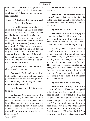him feel disgusted! He felt disgusted even at the age of sixty, so that is considered good, isn't it! Otherwise, one would not feel disgusted.

#### **Illusory Attachment Creates a Veil Over the Jagruti**

The world does not know at all, that all of this is wrapped up in a silken sheet, does it? The very rubbish that one does not like is wrapped up in a silken sheet. Does it feel this way to you or not? If one were to understand this much, then nothing but dispassion (*vairaag*) would arise, wouldn't it! But that much awareness (*bhaan*) does not remain; it is for this very reason that the world continues to function this way! Do any of these girls have such awareness? If a person appears handsome, and his skin were peeled off, then what would ooze out?

**Questioner:** Flesh and blood and all that would ooze out.

**Dadashri:** Flesh and pus and all that, right? And where did the beauty go after that? One has not thought of all this; that is why this illusory attachment (*moha*) exists, doesn't it!

**Questioner:** Yes, it definitely seems to be so.

**Dadashri:** Yes, just look at the entrapment! If you think about it, then does it not seem to be an entrapment, dear lady? This point, that everything inside is filth, does seem to be correct through the intellect, doesn't it? Does everyone have filth inside or must some people be clean, like beeswax?

**Questioner:** There is filth inside everyone.

**Dadashri:** If the awakened awareness *(iagruti)* remains that there is filth like this in the body, then no matter how attractive a person looks, would illusory attachment still arise?

**Questioner:** It would not.

**Dadashri:** It is because that *jagruti* is not there that this illusory attachment arises, and later, nothing but misery arises through that illusory attachment. Otherwise, would there be any misery?

A young man may go out wearing nice clothes, wearing a necktie, but what would ooze out if the mortal one were cut open? "Why do you needlessly keep wearing a necktie?" People with illusory attachment have no awareness (*bhaan*). The poor things become deluded upon seeing the attractive appearance! Whereas I can see everything openly, through and through. Would you not feel bad if all these people were to take off their clothes and wander about?

**Questioner:** I would feel very bad.

**Dadashri:** So they look good because of clothes. Would they look good without clothes? Cows, buffaloes, goats, dogs all look good without clothes, but people do not look good. Now, no one would give you such knowledge, would they? No one would explain things in such details, would they? So then illusory attachment is bound to arise, isn't it? Dadaji has said, "All of this is filth," so then how can illusory attachment arise?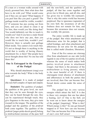If a man or a woman walks around with nicely groomed hair, then what does that have to do with you? What would come out if they are cut open? What happens if you peel him like you peel a gourd? The garbage inside would be visible, wouldn't it? If someone has pus oozing out from here, and you are asked to clean it up for him, then would you like doing that? You would definitely not like to touch it, would you? And if you have a male friend who does not have any pus, then you would like to touch him, wouldn't you? However, there is actually just garbage filled inside. You cannot even touch that. It's not as though there is anything in the world that is worthy of having illusory attachment for, is there? But people have never thought about this! No one has told them this!

#### **One Is Entrapped in the Energies of the Pudgal**

Why should attachment (*raag*) ever arise towards the body? What is the body made of?

**Questioner:** It is made of *pudgal* (the non-Self complex of input and output).

**Dadashri:** The qualities of *pudgal*, the qualities at the gross level, are such that they can be seen through the eyes, they can be heard through the ears, they can be experienced through touch, they give fragrance to the nose, they give taste (*swaad*) to the tongue. The qualities of the *pudgal* and the qualities of the *prakruti*  both come together. The qualities of the *prakruti* [anger-pride-deceit-greed] belong to *mishrachetan* (mixture of the pure Self

and the non-Self), and the qualities of *pudgal*, all that has come together and given rise to blood, pus, and all else, and has given rise to worldly life (*sansaar*). That is why this entire world has become perplexed. Due to ignorance (*agnanta*) of his own Self, the awareness of all this foulness does not remain for him, and because this awareness does not remain, this worldly life persists.

The entire worldly life is made up of the *pudgal*. But when attachment and abhorrence arise for the *pudgal*, that is called bondage, and when attachment and abhorrence do not arise for the *pudgal*, that is called *mukti* (freedom; liberation).

Four of the five senses are *vitaraag* (free from attachment) on one side [with regards to one of the two parties involved], whereas the sense of touch makes both parties involved prone to attachment (*raagi*). And there is the presence of the *mishrachetan* (a living person), which is the most harmful of all. If there is *vitaraagata* (total absence of attachment and abhorrence) in both the parties that are involved, then One can become free. Sexual desire comes under the sense of touch.

The *pudgal* has its own various energies which attract the Self. It is due to these very energies that one has taken a beating, isn't it! One is the Self, yet he went out to know about the energies of the *pudgal*, [inquiring], 'What is this? Which energy is this?' So one got himself trapped in it! Now how can one become free? One can become free if the awareness of one's own Self arises!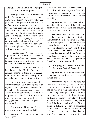#### **Pleasure Taken From the Pudgal Has to Be Repaid**

Have you ever had an eczematous rash? So as you scratch it, it feels gratifying, doesn't it? Now, what are you taking that pleasure from? From the *pudgal*. You seek pleasure by rubbing the two together, scratching it, by itching it. Then, ultimately, when the hand stops scratching, the burning sensation starts. Just look, the *pudgal* immediately gives pain, doesn't it! The *pudgal* says, 'Why are you seeking pleasure from me? You have the happiness within you, don't you! If you take pleasure from us, then you will have to repay it.'

**Questioner:** At the time of repayment, the misery that arises is dependent upon how much *aasakti* (inner tendency inclined towards attraction that attaches) or greed one has, isn't it?

**Dadashri:** The more *aasakti* one has, the more the affliction from external sources (*upadhi*). If there is less *aasakti*, then there will be less misery. It all depends upon the *aasakti*, doesn't it!

Have you never experienced an eczematous rash? So everything has to be repaid. A lot of pleasure is derived from [scratching] the eczematous rash, isn't it? At the time of scratching, there is a lot of pleasure on his face, isn't there? So a person watching him would feel, 'Oh God, give me eczema too.' Do people do that or not?

**Questioner:** How can there be pleasure in scratching it like that?

**Dadashri:** No, no, his face appears

to be full of pleasure when he is scratching. So in his mind, the other person feels, 'He is experiencing pleasure and I have been left out.' So he beseeches God, 'Give me something.'

**Questioner:** No one would ask for something like that, would they? On the contrary, one would have the thought, 'This is nothing but filth.'

**Dadashri:** Sex is indeed that. It is just like scratching. It is simply friction. From that friction, electricity is generated. But the repayment that comes later on breaks the joints [in the body]. How can there be pleasure in that? The Self is not involved in that. There is no eternal element that Knows and Sees (*Chetan*) in that. '*Chetan*' is only the Knower of that. Thus, one actually believes a perverted (*viprit*) state to be pleasurable.

#### **By Indulging in It Once, the Chit Becomes Out of Control**

**Questioner:** It is because one feels temporary pleasure that he gets involved in that, isn't it?

**Dadashri:** The fact is, he does not have the awareness (*bhaan*) that there is permanent happiness [in the Self], and so whatever temporary pleasure that comes along feels good to him. He will eat a mango, but he will leave it once he finds it slightly sour. He will find another one that is sweeter. Now, who is this? It is the tendencies of the *chit* that seeks out [pleasure], 'There is happiness in this, there is happiness in that; there is happiness in the other!' But then he doesn't get happiness from it and so he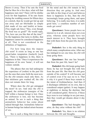throws it away. Then if he eats the food that he likes for a few days, what will that happiness turn into? There will be dislike even for that happiness. If he eats feasts during the wedding season for fifteen days at a stretch, then he would get fed up and run away and eat *khichadee* (a simple dish made of rice and lentils) at home. [You might ask him,] "Hey, even though the food was so good?" He would reply, "No, how can you like that all the time?" So the happiness that turns to dislike, that happiness cannot be considered happiness at all. That is not considered in the definition of happiness.

For how long does the impure *chit* exist? It exists as long as one has greed-laden temptation (*laalach*) [such as], 'There is happiness in this, there is happiness in that.' Once it experiences the happiness of its own 'home', it will not venture outside.

The phases that one had undergone the experience of (*vedan*) in the past life are the ones that come forth the most now. So the *chit* remains stuck only there. As that stickiness gets washed off, the *chit* does not remain there for long.

Where does the *chit* get entrapped the most? In sex. And once the *chit* is trapped, the *aishwarya* (energies of the Self within a human being) is lost. Once the *aishwarya* is lost, one has become an animal. So sex is such a thing that animalistic behavior has come about indeed through that. Animalistic behavior in human beings has indeed arisen because of sex.

Sex is such a thing that it does not

let the mind and the *chit* remain in the direction they are going in. And once one falls in this [trap of sex] and believes there is happiness in this, then the *chit* increasingly keeps going there, and upon believing, 'It is really nice here, it is really good here,' a countless number of new seeds get sown!

**Questioner:** Some people have no interest in it at all, interest does not even arise, whereas some people have too much interest in it. They have brought that with them from the past life, haven't they?

**Dadashri:** Sex is the only thing in which many complications arise. After one has indulged in sex one time, his *chit* will keep going there.

**Questioner:** But one has brought that from his past life, hasn't he?

**Dadashri:** His *chit* keeps going back there; he has not brought this with him from the past life. But then his *chit* goes outside of his control! It will become out of control even if he says no to it. That is why it is good if these boys remain in the intent of *brahmacharya*. And then if it discharges (*skhalan*) on its own, that is considered output (*galan*). It may happen at nighttime or during the daytime; that is all considered *galan*. However, if these boys were to ever indulge in sex just once, then they would get dreams about it day and night.

**Questioner:** The bad thoughts that arise, do they arise without the *chit*?

**Dadashri:** Yes, there is no relation between the *chit* and thoughts.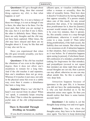**Questioner:** If I get a thought about some external thing, then that external thing captures my *chit*; is that what happens or not?

**Dadashri:** No, it is not a balance of these two things; it is not as though if one is there, the other has to be there. For the most part, that [what you are saying] is the case, but it is not that if one is there, the other is definitely there. Many times, there are only thoughts and the *chit* may not have been captured. Other times, the *chit* may have strayed and there are no thoughts about it. It may be like that and it may also not be so.

Have you experienced that when the *chit* goes towards sexuality, you have trouble concentrating?

**Questioner:** If the *chit* has touched the vibrations of sex even in the slightest degree, then it does not allow one's steadiness to remain for a long time. And if the *chit* touches it and separates, then one's steadiness does not go away. Whereas if it touches it just once, not only in the physical sense but even in a subtle way, even then it creates a disturbance that lasts a long time.

**Dadashri:** What is 'our' *chit* like? It hasn't ever moved from its place! When 'we' speak, it constantly keeps swaying like a flute! That is when the spontaneous joyful state of the *chit* (*chitprasannata*) arises.

#### **There Is Downfall Through Dwelling on Sexuality**

If you dwell (*ramanta*) on, meditate

(*dhyan*) upon, or visualize (*nididhyasan*) either a woman or sexuality, then the tuber of sexuality forms. Then how does it dissolve? It dissolves by having thoughts that oppose sexuality. If a person simply takes care of this much; for any sexual attraction that arises, if he immediately does *pratikraman* for it, then his [karmic] account would remain clear. If he delays it by even two minutes, then it sprouts. So, this actually comes to a stop through *pratikraman*, otherwise it would never come to a stop, would it! Then [after doing *pratikraman*], if the fault occurs, the liability does not remain. But where there is no awareness at all, if attraction happens in that situation, then everything remains as it was before. So if attraction happens upon seeing [a person], if *alochana* (heartfelt confession of a mistake), *pratikraman* (asking for forgiveness for that mistake), and *pratyakhyan* (avowal to not repeat that mistake) are done right then and the sexual thoughts are cut out, then a person can stay afloat; otherwise no one can stay afl oat amidst this. So this is actually a very deep hole.

Attraction happens because of ignorance in the past life; it is because you did not have the understanding, that is why you had dwelled on it. So the attraction arises once again. So then you should realize that there is some karmic account here!

**Questioner:** I do realize it, yet the thoughts keep arising over and over again.

**Dadashri:** Yes, but when the thoughts arise, they have to be destroyed once again. You have to keep destroying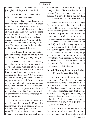them as they arise. 'You' have to See each [thought] and do *pratikraman* for it.

**Questioner:** I do understand what a big mistake has been made!

**Dadashri:** But it was because the mistake had been made that it arose within, isn't it! You should know how to destroy even a single thought that arises, shouldn't you! And you have to spend the entire day on this, for two hours at a time, then it will get destroyed, otherwise it cannot get destroyed. You did not think about this at the time of binding it, did you! You slept on your belly the whole night, thinking [sexual] thoughts.

**Questioner:** I did not understand [this statement], 'Slept on the belly the whole night, thinking [sexual] thoughts.'

**Dadashri:** He finds something attractive, so then he turns over face down and keeps thinking about it. He then continues to dwell on it. Now, she [that woman] has gone, so why does he continue dwelling on her? Yet the mortal one lies on his belly and dwells on her. He enjoys a taste of a kind! So then he turns over completely on his belly and indulges in it; I can See that! When does downfall take place? It takes place from the time one dwells on sexuality. Now if one dwells on *brahmacharya*, then *brahmacharya* will come into effect.

If one has dwelled on sexuality, then it should be washed off by doing *pratikraman*. But it is nothing much for the one who quickly cuts it off at that point. He does *pratikraman* the moment he sees it and then does not dwell on it,

even at night. As soon as the slightest thought arises, if he starts dwelling on it (*ramanta*), then he is considered to have slipped. It is actually due to this dwelling that all these faults have arisen, isn't it!

When the vision (*drashti*) changes [becomes sexual], then the dwelling begins. There is a reason behind the *drashti* changing; there are causes behind this from the past life. That is why the *drashti* does not change with everyone; it is upon seeing a certain person that the *drashti* changes. If causes were laid [in the past life], if there is an ongoing account that carries forward [in this life], and then if the dwelling [prolongation of play] takes place, then realize that this is a very large karmic account, so maintain increased *jagruti* there. Keep shooting the 'arrows' of *pratikraman* for that person. There should be powerful *alochana*, *pratikraman*, and *pratyakhyan* in that situation.

#### **Sexual Planning Involving a Living Person Makes One Slip**

A lapse in *brahmacharya* is a major fault. When there is a lapse in *brahmacharya*, there is trouble; you fall from where you were. If there is a tree that had been planted ten years ago and it becomes uprooted, then that is the equivalent of having planted it today, and moreover, those ten years went to waste, didn't they! And when a person practicing *brahmacharya* slips, if he slips just one day, he loses everything!

And for the person who slips from this point to all the way down here, the very same part that made him slip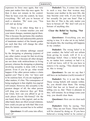expresses its force once again, that very same part makes him slip once again. So then it does not remain in his control. Then he loses even the control, he loses everything. 'We' tell you to beware of such a situation. 'We' warn you, "You will end up dying."

There is no other thing that is a hindrance. If a woman touches you and your intent changes, maintain *jagruti* there. This is because the *parmanu* (the smallest, most indivisible and indestructible particle of inanimate matter) of the female gender are such that they will change the other person's intent.

'We' can tolerate sabotage caused by the designing or planning (*yojana*) of any other matter except for that involving sexuality. This is because all other designs are not done with *mishrachetan* (a living person), whereas the designing or planning involving sexuality is done with a living person. Even if you let go, what would happen if the other person makes a claim against you? That is why 'we' have said to be cautious here. If you are negligent in other matters, it's fine. The consequence of being negligent is that slightly less *jagruti*  will remain. However, this sexuality is the greatest danger of all; the other person will drag you wherever they go! With our *Gnan*, how can you afford to go to such places [lower life-forms]? On the one hand, there is this *jagruti*, and on the other hand, there are illicit sexual relations; how could you put up with that? But even then, the karmic account has to be settled.

**Questioner:** It will come into effect, won't it?

**Dadashri:** Yes, it comes into effect in such a way that that woman may become your mother in the next life, she may become your wife, if you focus on her sexually for just one hour! That is how this is! This is the only matter you have to beware of! 'We' don't tell you to beware of anything else.

#### **Clear the Belief by Saying, 'Not Mine'**

**Questioner:** Everything you are saying is true. It is also set in my belief, but despite this, the touching still happens in my conduct.

**Dadashri:** The wrong belief is in your conduct, the belief will not refrain from giving its result, will it! It is a discharge belief. Once a belief has set in, no matter how contrary or bad it is, it will not leave, will it! So you have to remove it by saying, "This should not be so, this is wrong."

**Questioner:** So can we say that I still have an inclination (*ruchi*) towards it?

**Dadashri:** No, it is not like that. These wrong beliefs still remain within. So, you should clear them. The wrong belief that has set in based on others telling you so, that 'There is pleasure in this,' still remains. So as things come your way, you should clear them.

**Questioner:** How can we clear such beliefs?

**Dadashri:** Only by saying, 'Not mine.' They are not Yours. Those beliefs will be cleared by doing so. If you have believed a wrong belief to be correct a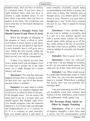hundred times, then you have to destroy it a hundred times, if you have done it eight hundred times, then you have to destroy it eight hundred times, if you have done it ten times, then you have to destroy it ten times. The world does not know what this is! The beliefs themselves are wrong.

#### **The Moment a Thought Arises, You Should Uproot It and Throw It Away**

When the thought of indulging in the pleasure of touch is about to arise, even before it arises, uproot it and throw it away. If you do not uproot it and throw it away instantly, then it will grow into a 'tree' within the first second, within the next second it will entrap you, and by the third second, you will be strangulated.

If there is no karmic account, then even a simple touch will not happen. Even if a man and a woman are in the same room, not a single thought [of a sexual nature] will arise.

**Questioner:** You said that attraction happens because there is a karmic account. So then how can I get rid of that karmic account before it unfolds?

**Dadashri:** It is only when it is done [uprooted] the very moment it happens that it will leave; it cannot be done in advance. If the thought arises, 'Let me reserve the space next to me for a woman,' then you should uproot that thought right away. You should recognize what the intention behind it is. Is it in line with your principle [of *brahmacharya*] or is it contrary to it? If it is contrary to your principle, then you should uproot it and throw it

away instantly. Generally, people make accommodation even before a woman sits down next to them. The moment such a thought arises, you should uproot it and throw it away. However, you turn such a thought into a 'tree' by the time a woman sits next to you. Then it cannot be turned around.

**Questioner:** I have decided that I do not want to indulge in sexuality, but if a girl or a boy brushes against me with a sexual intent, touches me with a sexual intent, while getting on or off the bus, while sitting in the bus or anywhere else, then I don't have a problem. I do not want to indulge in sexuality, but thoughts do arise.

#### **Dadashri:** That is good, isn't it?

**Questioner:** I have my 'safe-side' at that time, I do not indulge in sexuality at all. I do not want to touch anyone. But what can I do if they come and touch me?

**Dadashri:** I see. What would you do to a snake that intentionally wants to touch you? How can you even like touching a man or a woman? Where there is nothing but stench, how can you possibly like touching that?

I am just cautioning you that, if ever you accidently touch [any woman], then confess it to me. Sometimes, some women will deliberately brush against you.

#### **The Parmanu Bring About an Effect by Simply Touching**

**Questioner:** What if I have lots of negative thoughts? I don't have such a desire, but the circumstances come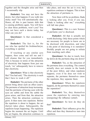together and the thoughts arise and then I occasionally slip.

**Dadashri:** You may not have the desire, but what happens if you walk into sticky mud? You will automatically slip. Hence, all this is past karmic debt that is causing problems again. You will have to clear those problems, won't you? You may not have such a desire today, but what can you do?

**Questioner:** Is that considered a weakness?

**Dadashri:** The fact is, for the one who has spoiled his *brahmacharya*, everything is spoiled.

If touching or any similar acts happen, then come and tell me and I will cleanse that for you immediately. This is because in terms of the attraction of electricity that happens from just one touch, 'we' subsequently have to remove that electricity.

**Questioner:** What is that electricity like? You had said, "The electricity is such that I have to wash it off"

**Dadashri:** The *parmanu* of the other person bring about such an effect (*asar*). The *parmanu* of attraction keep increasing. And the *parmanu* of having seen with the eyes are subtle and from the subtle the gross arises, and from that, the attraction arises. Then the attraction continues to grow. It then turns into repulsion. Before the repulsion is about to happen, the act (*karya*) takes place. Subsequently, the repulsion keeps happening. The repulsion begins the moment the act begins. Until the act begins, the attraction continues to

take place, and once the act is over, the repulsion continues to happen. This is how the attraction of *parmanu* is.

Now there will be no problem, Dada is looking after you. Even if you say, "Dada is looking after me," everything will fall into place.

**Questioner:** This is a new Science of *parmanu* you've disclosed.

**Dadashri:** All that is actually not worth disclosing. Only those points which are necessary for people to know are to be disclosed with discretion, and what is the point of disclosing it to outsiders? Worldly people are not going to refrain from touching each other.

**Questioner:** So due to touch, how far down do the *parmanu* drag one down?

**Dadashri:** Yes, so the attraction of the *parmanu* does everything. The control actually does not remain in the hands of the poor fellow, and when repulsion happens, even if he does not wish to separate, the *parmanu* themselves cause the repulsion, they separate them.

**Questioner:** When the repulsion happens, do the *parmanu* themselves cause the separation?

**Dadashri:** Yes, they themselves cause the repulsion by entering into [energizing] the influence (*amal*).

**Questioner:** So how do they do that?

**Dadashri:** Their influence gives the effect and then they themselves turn into repulsion.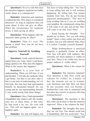**Questioner:** So is it a rule that once the attraction happens, repulsion inevitably comes about as a consequence?

**Dadashri:** Attraction and repulsion is indeed the rule. How long is it considered attraction? As long as repulsion does not come about, it does not give an effect. When the circumstance for repulsion arises, it starts giving an effect.

**Questioner:** What happens after the attraction starts giving its effect?

**Dadashri:** Then it's over! The person is dead! Now you do not have any problem.

#### **Improve Yourself by Scolding Yourself**

**Questioner:** I took a special directive (*agna*) from you. Later, when I went home, things spoiled a bit. Why does this happen? What is the reason this happens?

**Dadashri:** It is your lack of understanding. When you left here, if you had decided, 'I will take the medicine when I get home,' but then if you don't take it, that is your lack of understanding, isn't it! Just look, this man here had reprimanded himself, he threatened himself. He was crying and he was reprimanding himself, it was worth seeing both these things!

**Questioner:** Once, I had reprimanded Chandubhai [the relative self; file number one] two or three times; at that time, he had cried a lot, too. He even told me, 'This will not happen again,' yet it happens again.

**Dadashri:** Yes, that will happen, but

You have to keep telling him. 'You' have to keep telling him and it will continue happening. By telling him, You remain separate from him, You do not become engrossed (*tanmayakaar*). 'You' have to keep scolding him as if you are scolding your neighbor. By continuously doing that, it will come to an end, and all the 'files' will come to an end, won't they?

Keep Seeing the thoughts. 'You' should say to them, 'Are you still sitting inside?' Such a strict curfew has been put in place, but you still entered? Run, there is a curfew. Consider yourself doomed!'

When *brahmacharya* is practiced properly, it gradually creates an effect. Your face will glow with radiance. But currently, not much radiance is visible on your face. There is no visible loss, but no proper radiance is visible either!

**Questioner:** What is the reason for this?

**Dadashri:** The intention (*daanat*)! Your intention is bad. How could any radiance be visible? As a matter of fact, the moment you see [a woman], your intentions turn bad. How can there be any sexuality once you become a *brahmachari* (one who is unmarried and has taken up a resolve to practice life-long *brahmacharya*)?

**Questioner:** The intention is like this; what can be done so that the intention improves? What is the solution for that?

**Dadashri:** The thoughts that arise, they are not You. You should scold him [Chandubhai]. Did You scold him? 'You'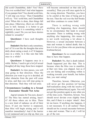did scold Chandubhai, didn't You? Have You ever scolded him? And what happens if you pamper him? You should scold him, 'I will slap you twice.' Then Chandubhai will cry. 'You' scold him, and Chandubhai cries! When this is done, then things fall into place. Otherwise, illicit sex will take you to hell. Instead, it is better to get married; at least it is something which is rightfully yours! Do you not have desires related to sexuality?

**Questioner:** I have such thoughts sometimes!

**Dadashri:** But that is only sometimes, isn't it? It is not like the thoughts that arise daily about eating a meal, is it? It happens once in a while. Is it like rain that falls once in a while?

**Questioner:** It happens once in a while. Before, I used to get a lot [of sexual thoughts] all day long; those have stopped.

**Dadashri:** As time passes, you will stop going in that direction. Once the direction you want to go in is decided, all other obstacles from the past will cease to arise, and then you will stop going in that direction. Then they will not arise.

#### **Circumstances Leading to a Sexual Encounter Should Not Arise**

*Jagruti* remains for You now, doesn't it? The bliss has started arising, hasn't it? All those others are in bliss. There is a new kind of radiance on all of their faces. If just one barrier is surpassed, then bliss will begin arising and it will manifest immediately! And if the barrier is not surpassed and you slip up, then you

will become entrenched on that side [of] sexuality]. Then you will once again be in the wrong direction. Therefore, you have to be careful at the time of being put to the test. Then the veil over the Self breaks and bliss continues to come forth!

There is nothing wrong with anything else happening, there should be no circumstance that leads to sexual encounter. There is nothing wrong with anything else happening, this means it is not worth worrying a lot about it. However, a sexual encounter between a man and woman is indeed death; that is how it is for you [those who are practicing *brahmacharya*]*.*

**Questioner:** So we would rather die than to have that happen.

**Dadashri:** No, that is death indeed. Death happened just like that. This is because when the bliss was to manifest, at that very time, you slipped. Just as if you are fasting and everything within is working towards your benefit, but before that, you start eating!

Therefore, beware. Otherwise, you will never get this position [of having Self-realization along with the resolve of practicing *brahmacharya*] again. You will not get this position again in any other era of the time cycle. Therefore, beware. You should never deviate even slightly from this, and if there is a major 'attack', then let me know. If anything else happens, it is not necessary. It is all useless! There should not be a sexual encounter between a man and woman. That is all, I will let go of the rest.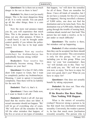**Questioner:** So is there not as much danger in the rest as there is here?

**Dadashri:** No, there is not [as much] danger. This is the most dangerous thing of all. It is verily suicide. You can patch up all the other things; there is a cure for that.

Now the more real penance (*tapa*) you do, you will experience that much bliss. This is the penance that has to be done, not any other penance. If there is a small brawl, it can be brought under control quickly if you inform the police. That is how this has to be kept under control.

**Questioner:** Now my resolve (*nishchay*) for *brahmacharya* has undoubtedly become strong within!

**Dadashri:** Your resolve has undoubtedly become strong. There is radiance on your face!

**Questioner:** It is fine if I fall a little short with respect to *Gnan*, but I want to completely perfect my *brahmacharya*. Meaning, I want to uproot it [sexuality] completely. Then there will be no liability for the next life.

**Dadashri:** That's it, that's it.

**Questioner:** I have met Dada now, so I want to finish it all off.

**Dadashri:** Finish it all off. Just pay heed that the resolve does not falter. A sexual encounter should not happen. 'We' will let go of everything else of yours. 'We' will show all the remedies for that. All the other mistakes that happen, of the five or seven or ten types of mistakes that happen, 'we' will show the remedies for all of those. There are remedies for those. I have all kinds of remedies, but I do not have a remedy for this [if a sexual act happens]. Having travelled a distance of 9,000 miles, one does not find the destination and so he turns back. Now, the destination was at 9,500 miles. Rather than going through the trouble of turning back, continue ahead, mortal one! Just look! This person has not made a resolve, so he is put under so much difficulty!

**Questioner:** The resolve is there, but mistakes end up happening.

**Dadashri:** If other mistakes happen, then they can be accepted, but there should be no sexual encounter. This conversation is only for this group; 'we' are not including you in this group. When you show 'us' your 'test examination', then 'we' will include you in this. Then 'we' will scold you, too. 'We' will not scold you now, so enjoy. You have to enjoy for your own good, don't you? What do you have to enjoy for?

**Questioner:** One does not actually benefit by taking enjoyment.

**Dadashri:** He does not. Then why are you taking enjoyment?

#### **If the Resolve Has Been Made, Then Nothing Will Happen**

What is the nature of sexuality (*vishay*)? However strong a person is, he has that much less [inclination towards] sexuality. Conversely, the weaker a person is, he has that much more [inclination towards] sexuality. The person who is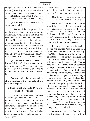completely weak has a lot of [inclination towards] sexuality. So, a person who is weak is so overcome with sexuality that it does not let him come out of it, whereas it does not even affect the one who is strong.

**Questioner:** On what basis does the weakness remain?

**Dadashri:** When a person does not have the solemn vow (*pratigna*) for it internally, when he does not have any steadiness of his own, he continues to slip up. He continues to slip until he is done for. According to the knowledge on the *Kramik* path (traditional step-by-step path to Self-realization), it is said that if there is a breach in your *brahmacharya*, then take care of it by drinking poison, but do not make a breach in *brahmacharya*.

**Questioner:** If one wants to achieve his goal [of perfecting *brahmacharya*], then even on the *Akram* path (step-less path to Self-realization), one has to maintain the same kind of resolve, doesn't he?

**Dadashri:** One has to maintain a strong resolve; a tremendously strong resolve is required.

#### **In That Situation, Dada Displays Silent Sternness!**

If a sexual encounter [outside of marriage] happens, then 'our' gaze becomes stern, 'we' will immediately know everything. Dada's gaze becomes stern towards sexuality alone, not for any other matter. 'We' do not have a stern gaze for any other matter. Other mistakes may happen, but this should certainly not happen. And if it does happen, then come and tell 'us', so that 'we' can 'repair' it for you, 'we' can free you from it.

**Questioner:** I have to come here to Dada to become free in every respect.

**Dadashri:** That is fine. That is why I have taken it in writing from these *Aptaputras* (young men who have taken the vow of *brahmacharya* and have dedicated their life to the *Gnani* for the world's salvation); so that I do not have to tell them to leave, they will leave on their own [in such a circumstance].

If a sexual encounter is impending for him and he meets 'our' stern gaze, then he will become free from it automatically. 'Our' blazing heat (*taap*) will make him let go of that. 'We' do not have to reprimand him. He meets such a stern gaze that he will not be able to sleep at night. That is considered the blazing heat of coolness (*saumyata*). People of the world have the blazing heat of *prataap* (aura of influence and power). In *prataap*, they have radiance on their faces, they practice *brahmacharya* quite well, they have strong bodies, their speech is powerful, their actions are dignified. That *prataap* exists in worldly life, but no one has the blazing heat of coolness. Now when these two come together, the properties of the sun and the moon, then work gets done. There are human beings with just *prataap*. But there are very few, there are not many in this *Dushamkaal* (the current era of the time cycle characterized by a lack of unity in thought, speech, and action)!

**Questioner:** And our *Gnan* is such that It nudges and cautions from within.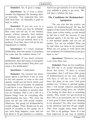**Dadashri:** Yes, It gives a nudge.

**Questioner:** So if even a minor mistake has happened, the shouting starts up internally, 'You neglected this, turn back from here.' So internally, it pulls us back to safety.

**Dadashri:** If you are ever in a position in which you may be defeated, then come and tell me. If one lifetime passes without impurity, then *moksha*  is attained; you have the green signal. And even if you get married, there is no problem. Even then, there will not be any impediment to *moksha*.

**Questioner:** If I touch someone deliberately, then that means it [sexuality] has come into the conduct, doesn't it?

**Dadashri:** If you touch someone deliberately, then that means it [sexuality] has come into the conduct! Why don't you touch a fire deliberately?

**Questioner:** I understand.

**Dadashri:** The moment the desire arises, uproot it and throw it out. As soon as the root sprouts, as soon as the seed sprouts, would you not know which seed is sprouting? It is of sexuality. So eradicate it and throw it out. Otherwise, if you feel pleasure upon touching [a person], then you are finished. That is not a life of a human being! Now do everything after understanding the laws. 'We' close the doors for the one with sexual conduct. Otherwise, this group [of *brahmacharis*] would collapse. There should not be any stench of sexuality in this group. So if any such thing happens, come and tell me about it. To get married is a solution.

And if you get married, it is not as though your *moksha* is going to go away. 'We' will find a solution for you.

#### **The Conditions for Brahmachari Aptaputras**

The one who has the resolve can remain [in *brahmacharya*]! He has the support of the *Gnani Purush*. He has taken *Gnan*, there is bliss within, so why should he fall into a well? So, because of your spiritual apathy, I do not like you. There is still spiritual apathy and you are all useless. You are not reliable! What can be said when you sleep in my presence? When are you going to write down [the two conditions for *brahmacharis*] and give them to me?

**Questioner:** Whenever you say so. I can write them now.

**Dadashri:** There are two conditions. The first one is on sexual misconduct. Write this down: 'If there is sexual misconduct, then I will leave [this group of *brahmacharis*] on my own, nobody will have to tell me to leave. I will leave this place on my own.' And point number two: 'If there is spiritual apathy, then I will accept whatever punishment the association (*sang*) gives me, whether it be fasting for three days or something similar.' Why would 'we' get involved in this? This is an association, isn't it? Does it look good if these people are sleeping in my presence? Yes, they were sleeping in the afternoon and they all got caught. They were caught many times before, too. This is all garbage. Some of it has been improved in one way or another.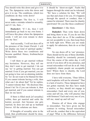You should write this down and give it to me. The *Aptaputras* write this down and give it to me. The conditions, which two conditions do they write down?

**Questioner:** The first is, 'I will never make a mistake related to sexuality, and if I do, then…'

**Dadashri:** 'If I do, then I will immediately go back to my own home. I will leave this place where the *Aptaputras*  reside. I will not even remain to show you my face.'

And secondly, 'I will not doze off in the presence of the *Gnani Purush*. I will not display any kind of spiritual apathy.' Write down these two conditions and become qualified. Hence, *brahmacharya* is important.

I tell them to get married without any hesitation. However, they tell me they don't want to get married. I do not say 'no' to getting married. You can get married. Even if you get married, you are not going to lose out on attaining *moksha*. So 'we' do not want to be blamed for that. If you cannot tolerate having a wife, then what can I do about that? Yet he replies, "I cannot tolerate that." He discloses that, doesn't he! So if you can tolerate it, then get married, and if you cannot tolerate it, then let me know.

If there is filled stock [of sexuality] within, then get married and settle the karmic account. Just because one gets married, he does not end up as husband forever. All the solutions are there.

If thoughts of sexuality arise in the mind, then *pratikraman* should be done, it should be 'shoot-on-sight'. Faults that happen through the mind can be tolerated. 'We' have a solution for that. 'We' will use that and clean it for you. If it happens through the speech or conduct, then it cannot be tolerated. There must be chastity (*pavitrata*)! Do you like these conditions?

#### **Questioner:** I like them.

**Dadashri:** Then write them down and bring them to me. If you do not like them, then don't do so. If the conditions are not acceptable to you, then keep them on hold right now. When you are ready to apply for admission, then do so at that time.

No one dozes off in 'our' presence. There should not be any of those shortfalls. Humility should be constantly present. Over the course of the entire day, it will not do if you doze off in my presence, and sexual misconduct will not do at all. Only completely chaste people are acceptable here! Where there is chastity, the Lord does not leave from there.

I have told everyone, "Dear fellow, such loopholes will not be tolerated." That is a lack of resolve. These *Aptaputras* have not gotten married, but they have made a resolve, so they should not engage in misconduct. Each and every one of you, come and tell me, who will practice that with firmness? Each and every one of you, tell me; stand up and tell me!

Dismiss all of those who engage in misconduct. You have given me the contract in writing. Sexual misconduct will not do, conduct that is the equivalent of pigs! What is the difference between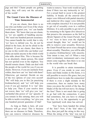pigs and this? Chaste people are getting ready; they will carry out the salvation of the world!

#### **The Gnani Cures the Diseases of Time Immemorial**

If you are chaste, then there is no one who can bother you! Even if the whole world turns against you, 'we' can handle them alone. 'We' know that you are chaste, so 'we' are capable of handling anyone. 'We' need one hundred percent assurance. You cannot handle the world; that is why 'we' have to defend you. So, do not be afraid in the least, do not be afraid in the slightest. If you are chaste, then there is no one in this world who can bother you! Dada can tackle anyone in the whole world who talks about Him. This is because He is an absolutely chaste person, His mind has not spoiled even in the slightest. You should remain chaste. Dada can deal with the people of the world for you if you are chaste. However, if you are unchaste from within, then how can 'we' deal with them? Otherwise, get married. Decide on one of the two options of your own accord! 'We' will help you in this [in practicing *brahmacharya*], and 'we' will help you even if you get married. It is 'our' duty to help you. Then if your resolve does not waver, then 'we' will give you 'our' *vachanbal* (the power of 'our' speech). If you remain in this *satsang*, then you will be able to tackle everything; 'we' give you one hundred percent guarantee of that!

As long as Dada is here, all your diseases will go away! This is because there are no diseases in Dada. Therefore, one can remove whatever diseases he

wants to remove. Your work would not get done if there was any insincerity in 'us'. For a sexual fault to occur is the greatest liability. It breaks all the *anuvrat* (five major vows followed with partial sincerity) and *mahavrat* (five major vows followed with complete sincerity)! It is not possible to get rid of sexuality even in a million lifetimes. It is only possible to get rid of it by remaining in the *Agnas* (five directives that preserve the awareness as the Self in *Akram Vignan*) of the *Gnani Purush*. And if 'we' were to have even the slightest sexual thought, then 'we' would not be able to remove your sexuality. However, the *Gnani Purush* has never even a thought about sexuality. Therefore, you will be able to practice *brahmacharya* with sincerity. Your intent is true, isn't it! When a true *nimit* (evidentiary instrument) and a true intent come together, then there is no one in the world who can break that.

It is possible to attain tremendous grace. Even if you reside in your own home and Dada resides in His home, it is still possible to receive His grace, but you should know how to make the connection! If there is even a slight mistake in the connection, then no matter how many times you press the switch of the fan, the blades of the fan will not move. So change the fuse! There is not much that is going to go bad with the connection, it goes bad sometimes, but you have to change the fuse. As it is, the opportunity to get Your [spiritual] work done has arrived.

'You' have been handed the string of the 'kite'! Now, if the 'kite' takes a dive, then just pull the string in this way. When the string of the 'kite' was not in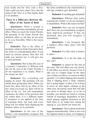your hands and the 'kite' took a dive, what could you have done? Now that the string of the 'kite' is in Your hands, there is no problem.

#### **There Is a Difference Between the Effect of the Touch of Both**

**Questioner:** When a woman is touched, her *parmanu* immediately give an effect. When we touch the *Gnani Purush*, the *parmanu* of the *Gnani Purush* also definitely affect us, but they do not seem to do so as forcefully. What is the reason for this?

**Dadashri:** That is the effect of *parmanu*; whatever kind of *parmanu* there are, there is a corresponding effect. If you touch an anxious person, then that will make you anxious too; it will give rise to such *parmanu*.

**Questioner:** But in that [the case of a woman], I experience it. Whereas with this [in the case of the *Gnani Purush*], I do not experience it as clearly. What is the reason for this?

**Dadashri:** Yes, everything will display its result. The *parmanu* will not refrain from giving their effect. When you touch fire, there will be an effect of the fire; when you touch ice, there will be an effect of the ice. You will immediately experience the effect of the *parmanu* that are within them. It is a different matter if awareness is not applied at the time of touching them, but each and every thing will not refrain from displaying the intrinsic nature of its *parmanu*.

**Questioner:** In the case of the former, I can immediately recognize that the entire *antahkaran* (the mind-intellectchit-ego complex) gets disturbed.

**Dadashri:** Everything gets disturbed!

**Questioner:** Whereas here [when touching the *Gnani*], we do not recognize it immediately. What is the reason for that?

**Dadashri:** How can you recognize that? How can you immediately recognize those high-level *parmanu*? If they are disturbed, then you will recognize it immediately.

**Questioner:** I can recognize that a negative effect takes place with the *parmanu*.

**Dadashri:** It is like when a laxative is taken.

**Questioner:** Is it not the same in this case?

**Dadashri:** It cannot be like that in this case. This will affect you very slowly. It will affect you slowly, because it has to take you to a higher stage! In the other case, it takes you down, so creates an effect speedily; it is called slipping [downward]. That is slipping down a slope, whereas this is going higher. It takes a lot of force to move an inch higher, whereas in the other case, the karmic stock that will take you down is already there, so as far as possible, you should not touch [a woman outside of marriage]. Regardless of how much *upayog* (applied awareness as the Self) there is, no matter how strong the *upayog* is, you should not touch her.

**Questioner:** This is about touch that happens unintentionally. There is not even the slightest intent to touch, yet it happens.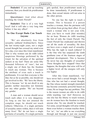**Dadashri:** If you end up touching someone, then you should do *pratikraman* immediately.

**Questioner:** And what about touching the *Gnani Purush*?

**Dadashri:** That is of a very high level! And it will take a very long time before it has any effect!

#### **No One Except Dada Can Touch Anyone**

'We' are absolutely free from sexuality (*akhand brahmachari*). Since the last twenty-eight years, not a single sexual thought has crossed my mind even for a day, ever since this *Gnan* manifested. That is why women can do *vidhi* (silent auspicious blessings performed by the *Gnani* for the salvation of the spiritual seeker) at my feet! There are some fifty thousand followers of 'ours', but not a single one of them has the freedom to touch any woman. This is because the attribute of even such a touch is problematic. It is not that everyone is like that, but as far as possible, one should not get involved in this. 'We' have the liberty. This is because 'we' do not dwell in any gender; neither masculine nor feminine nor any other gender. 'We' are beyond any gender.

A man and a woman should never touch each other; it is very dangerous. As long as one has not attained the complete stage, he should not touch [others]. Otherwise, if a single *parmanu* of sexuality enters within, then it will ruin many lives! 'We' do not have a single *parmanu* of sexuality. If a single *parmanu*  gets spoiled, then *pratikraman* needs to be done immediately. If *pratikraman* is done, then sexual intents will not arise in the other person.

No one has the right to touch a woman. This is because if a person touches a woman, then the *parmanu* will not refrain from giving their effect. If you touch a woman who is not your wife, then you have to wash [that mistake] for an hour. Women do *vidhi* touching the feet of only the *Gnani Purush*. The *Gnani Purush* has eradicated and thrown out all the seeds of sexuality; He does not have even a single seed of sexuality. Who has the right to touch [others]? It is the One who has surpassed the ninth *gunthanu* (one of the fourteen stages of spiritual development). This is because He never has any thoughts of sexuality! Those thoughts have stopped! Once that happens, the thoughts that arise will be of a higher level; all the energies will only rise higher.

After this *Gnan* manifested, 'we' have never had a sexual thought. For the One who has not had a sexual thought, the One whose mental strength (*manobal*) has become extremely powerful based on *Gnan*, He no longer has any problem. This is the reason women are able to do *vidhi* while touching 'our' feet! However, no one else has the liberty to touch women, nor do women have the freedom to touch anyone else. No one should be touched. For some, sexual thoughts will arise within them even before a woman touches them. For 'us', 'we' are able to see everything through and through in just one second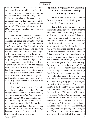through 'three vision' [Dadashri's three step experiment in which, in the 'first vision', the man or woman is seen as naked even when they are fully clothed. In the 'second vision', the person is seen as though the skin has been removed. In the 'third vision', all the internal organs are seen.]. When 'our' vision as the Self (*Darshan*) is so elevated, how can that disease arise?

And 'we' do not have any attachment (*raag*) towards the *pudgal* (non-Self complex of input and output)! 'We' do not have any attachment even towards 'our' own *pudgal*. 'We' remain totally separate from the *pudgal*. The one who has attachment towards his own *pudgal* will have attachment towards another's *pudgal*. Since infinite past lives, this and only this [sex] has been indulged in, and yet it does not let up. That in itself is a wonder, isn't it! When one has opposed sexual pleasure for many lives, when one has thought very critically about the nature of sexual pleasure with an unveiled vision, when a tremendous amount of dispassion (*vairaag*) has arisen, then it lets up. When does dispassion arise? It is when One Sees it as it is.

For 'us', the *Gnani Purush*, everything is clearly visible. 'We' see everything exactly as it is. And that is why 'we' remain *vitaraag* (free from attachment and abhorrence). One has had attachment towards the body for infinite past lives, and the reward he has received for that is the cycle of birth and death. Just once, have attachment towards the Self, meaning, become *vitaraag*, then you will recoup the losses of infinite past lives.

#### **Spiritual Progression by Clearing Karma Commences Through Vitaraagi Diksha**

**Questioner:** Dada, please do a *vidhi* for me. I want to take a lifelong vow of celibacy (*brahmacharya vrat*).

**Dadashri:** In the current era of the time cycle, a lifelong vow of *brahmacharya* cannot be given. It is a liability to give it at all. It may be given for a year. Otherwise, if one takes the directive [for following lifelong *brahmacharya*] and falls, then not only does he fall, but he also makes 'us' an active evidence (*nimit*) in that. Then, when 'we' are sitting next to the *vitaraag* (absolutely detached) Lord in *Mahavideh Kshetra* (one of the three locations in the universe where human beings and Lord Simandhar Swami reside), they will come and make me get up from there and say, "Why did you give the directive? Who told you to be so wise?" They will not let me sit in peace even with the *vitaraag*  Lord! So not only would one fall, but he would also drag others down with him. So keep maintaining the intention, and 'we' are giving you the energies to nurture the intention. Nurture the intention methodically; do not rush into this. The more haste, the more deficiency there will be. 'We' never tell anyone to practice *brahmacharya*, practice this directive. How can 'we' even ask them to do that? 'We' alone know the value of *brahmacharya*! If you have the readiness, then the power of 'our' speech (*vachanbal*) is there; otherwise, just stay put where you are! If you take the vow of *brahmacharya* and follow it to its fullest, then you will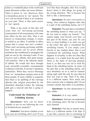achieve a wonderful place in the world and attain liberation within one more lifetime. There is power in 'our' directives; there is tremendous power in 'our' speech. The vow will not break if there is no weakness on your part. There is that much power in 'our' speech.

What is the result of this that will come later on? *Sarvasang parityaag* (renunciation of all associations) will come into effect [in the next life]. That is not known as renunciation (*tyaag*); it comes to unfold as an effect. It unfolds in effect means that it comes into one's conduct! When such *sarvasang parityaag* unfolds, then that person can be given *diksha* (initiation into monkhood) to propagate the path set out by the *vitaraag* Lords. If one receives such a *diksha*, then great energy will manifest. That is the inherent nature of *diksha*. He would also have brought such *vyavasthit* (scientific circumstantial evidences) with him. Everyone's intentions materialize. When they receive blessings from 'us', tremendous energies arise in all these people. If such a *diksha* is acquired, then there is an uplifting of the *vitaraag dharma* (the religion prescribed by the absolutely detached Lords); the *vitaraag* path gets a renewal and that is going to happen!

#### **Understand the Definition of Unfolding Karma**

**Questioner:** How can we know whether or not we are following the vow of *brahmacharya* properly?

**Dadashri:** You know whether or not your eyes are twitching, don't you? If you ever like those thoughts, then You would Know about it, that things are going in the wrong direction. This is because the Self is like a thermometer.

**Questioner:** So one's own resolve is strong. Now whatever happens after that is a part of the unfolding karma, isn't it?

**Dadashri:** The part that is considered the unfolding karma is when you say, "I do not want to empty my bowels." You cannot empty your bowels over here, in this part of the house, can you! So you have to keep holding it in until you get to the toilet; that part is considered the unfolding karma. If you empty your bowels in any random place, that is not considered the unfolding karma. What happens in sexuality is that one likes that pleasure, it is a habit from the past [life]. There is the habit of deriving pleasure from it, so then one sets out to stick his hand in the unfolding karma. In terms of the part that is the unfolding karma, one says absolutely no to it, and he remains strong right until the end; he says that he does not want to slip. Then if he slips, it is a different matter. How much care does a person who is slipping take? If one remains careful, then there is no problem.

**Questioner:** So this demarcation is very subtle.

**Dadashri:** It is very subtle.

**Questioner:** And one can understand it by remaining strict. He has to become strict himself.

**Dadashri:** One has to remain strict, then it is a different matter if he slips. It is just like a person who is swimming in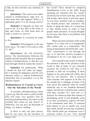a lake, he does not have any intention of drowning.

**Questioner:** The resolve one makes related to *brahmacharya* right now, on what basis does that happen? What is it dependent upon? Is it the strong resolve?

**Dadashri:** It depends on what you want to do. If a boy falls in the water to play and swim, on what basis does he make a resolve to survive?

**Questioner:** It is because he wants to live.

**Dadashri:** What happens to the one [who says], "So what if I live and so what if I die"?

**Questioner:** He will definitely drown. The discrimination [between the helpful and the harmful] that one acquires related to *brahmacharya*, is that the very basis through which he makes the resolve?

**Dadashri:** He understands, 'What I should do that will make me happy.' He is looking for happiness and His own inherent nature is indeed *brahmachari*  (absolutely free of sexuality), it is in His inherent nature!

#### **Brahmacharya Is Crucial to Carry Out the Salvation of the World**

If sexuality (*abrahmacharya*) alone is given up, then the entire world [worldly life] will wane very quickly! Just by practicing *brahmacharya*, the entire world [worldly life] comes an end, doesn't it! Otherwise, you can give up thousands of things, yet achieve nothing.

If there is only one pure person, then he can carry out the salvation of the world! There should be complete *Atmabhaavna* (view as the Self). Keep nurturing the intention [for the world's salvation] for an hour each day, and if the link breaks, then rejoin it and start again. As you have nurtured such an intention, you should protect that intention! The desire to adopt the dress of a renunciate, to take *diksha* arises in order to help people attain salvation. If sexual thoughts do not arise, then there is no problem with taking *diksha*.

When can more salvation of the world happen? It is when one is in *tyaagmudra* (the visible state as a renunciate). The *tyaag* (renunciation) should be like 'ours'. 'Our' renunciation is not through the ego, is it! And this *charitra* (conduct) is considered to be of a very high level!

Test yourself to the extent of whether the intention is that of the salvation of the world or that of pride. If you critically examine the [relative] self, then it is possible to find out everything. If there happens to be some pride left within, then that too will dissolve. This is because some minister who appears to be fine on the outside but is unhappy at home, if he were given the authority, then he would embezzle one to two hundred thousand rupees, but then he would become content with that, wouldn't he? And ours is a Science! So whatever pride that remains is discharging stock! It will gradually come to an end; nevertheless, *jagruti* will have to be maintained until then. If someone hurls abuses at you or insults you, even then pride should not become awakened. Why should pride get awakened even if someone strikes at you? 'You' should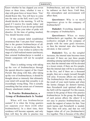Know whether he has slapped you seven times or three times, whether it was a slap with great force or lesser force. 'You' should Know this. You will have to come into the state as the Self, won't you? You should decide in the morning, 'It will be good if I receive five insults today,' and then have regrets if you do not get insulted even once. Then your tuber of pride will dissolve. At the time of getting insulted, You should become aware.

If the constant *laksh* (established awareness) that 'I am pure Soul' remains, that is the greatest *brahmacharya* of all. There is no other *brahmacharya* like it. Nevertheless, if one wishes to achieve the stage of a Self-realized master (*aacharya*), then external *brahmacharya* is needed; a female companion will not be accepted there.

There is nothing wrong with taking up the vow of *brahmacharya* through the special directive (*agna*) of the *Gnani Purush*. But along with that, after taking up the vow of *brahmacharya*, it should be thought about so intensely that ultimately your mind will accept that sexuality is an exceedingly wrong thing. This is actually something that has arisen out of immense illusory attachment (*moha*).

#### **To Practice Brahmacharya, a Group of Brahmacharis Is Needed**

When will true *brahmacharya* sustain? It is when the living quarters are separate over there [with other *brahmacharis*]. In a short time, their residence will become separate, and only then will they be able to practice true *brahmacharya*, and only then will there be radiance on their faces. Until then, this atmosphere and environment will affect them.

**Questioner:** Why is so much importance given to the company of *brahmacharis*?

**Dadashri:** Everything depends on the company of *brahmacharis*.

**Questioner:** When so many *brahmacharis* get together, the *sangbal* (collective strength of the company of people with the same goal) increases, so then the internal state also becomes elevated, is that correct?

**Dadashri:** Yes, as the *sangbal* increases, the internal state becomes more elevated. If there are just three people attending *satsang* (spiritual discourse) right now, then the internal state will be elevated to a lesser extent, if there are five people. then the internal state will be in accordance to the five, and if there are a thousand people, then not a single [sexual] thought will arise. Everyone affects one another. The *brahmacharya* that remains today is the result of your merit karma and when the karma changes [to demerit karma], then *Purusharth* (real spiritual effort as the Self) will be required! For this reason, remain in the group of those who practice *brahmacharya.* In the group, the thoughts of each person affects the others! It is not easy to practice *brahmacharya*; one needs the support of nature for that. Your merit karma and *Purusharth* is needed. Then bliss will arise, and that too will happen when all of you [*brahmacharis*] live together. This is because of the effect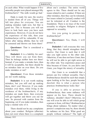on each other. What would happen if five unworthy people were placed amongst fifty *brahmacharis*? 'The milk would go bad.'

Dada is ready for sure; the resolve is needed from all of you. Things will fall into place for everyone. You are making mistakes right now, but that is good too. This is because you will not have to look back once you have such experiences. However, if you do not have the experience of this side, then your *brahmacharya* will be vulnerable. If one falters after taking *diksha*, then he will be censured and thrown out from there!

**Questioner:** That is considered a grave liability.

**Dadashri:** It is a liability for sure! They will throw you out from there. Then he belongs neither here nor there! Instead, if you make a mistake here, then it will be acceptable, but there should be no mistakes later on over there. Do you make mistakes or not?

**Questioner:** Even those mistakes are not worth making.

**Dadashri:** It is not worth making mistakes, but you still end up making them, don't you! However, if you make mistakes over there, while living in the residence of the *brahmacharis*, if any mistakes are made there, then everyone will get together and throw you out for sure. So proceed with caution from the beginning, yet if you make mistakes, then keep a mental note of it.

There should not be any complaints about your conduct. Religion (*dharma*) does not exist where there is a complaint about one's conduct. The entire world agrees to this. There should not be any issues related to one's conduct. If there are other mistakes, then they can be tolerated, but issues related to [sexual] conduct will not be tolerated at all. Conduct is the foundation. There is no trace of the word sexuality in religion. Religion is always opposed to sexuality.

Are you going to protect this *brahmacharya*?

**Questioner:** Yes, Dada, I will protect it.

**Dadashri:** I tell everyone this very thing, that they should strengthen their resolve. Our *Gnan* is such that it will take you right across to the other side. Otherwise, if one does not have *Gnan*, then he will not be able to get right across to the other side. You experience peace and bliss because of *Gnan*. As you delve into *Gnan*, you forget the misery of sexuality.

Our *Gnan* is so wonderful that a person can live without sexuality. One's *brahmacharya* should be such that simply upon looking at his face, people become dazzled; this is what a person who practices *brahmacharya* looks like!

If one is able to protect his *brahmacharya*, then some radiance will appear on his face. There should be radiance, shouldn't there? Otherwise, no one will even be able to tell which group a person is from, will they? *Brahmacharya* brings about radiance. No matter what a person's complexion may be, there should be radiance on his face. What good are people without radiance? The light of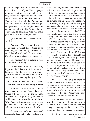*brahmacharya* will even resonate on the wall in front of you! Even if people of other countries were to look at you, they should be impressed and say, "My! Here comes the Indian *brahmachari*!" That is how it should be. We are not concerned with whether a person is lightcomplexioned or dark-complexioned. We are concerned with his *brahmacharya*. Therefore, do something that will make your vow of *brahmacharya* shine!

**Questioner:** So what exactly should we do?

**Dadashri:** There is nothing to be done here, is there! Here, there is no such thing as, 'I am doing' (*karomi*), 'You are doing' (*karosi*), and 'They are doing' (*karoti*), but understand this point now.

**Questioner:** What is lacking in what we are currently doing?

**Dadashri:** What is currently happening is all because of the losses you had incurred in the past. So now maintain *jagruti* so that all the losses are paid off and the surplus ends up being a profit!

#### **The 'Touch' of the Self Is Attained When the Touch of Sexuality Leaves**

Your resolve to observe complete *brahmacharya* and 'our' *Agnas*, these two things will indeed accomplish the goal. However, this is provided your resolve within does not waver in the slightest! 'Our' *Agnas* will guide you wherever you go, and you should not let go of your solemn vow (*pratignya*) even slightly.

The power of 'our' words (*vachanbal*) is certainly there, but you have to take care

of the following things, then your resolve will not waver. First of all, you should not look at someone who has caught your attention; there is no problem if it is in a religious connection, but it should be natural and spontaneous. Secondly, upon seeing a fully clothed person, [the awareness should arise] how would he appear if he were naked? Then how would he appear if the skin were peeled off? Then how would he appear if the skin were cut through and the intestines were pulled out? In this way, all the 'visions' continue to advance deeper and deeper, all those phases can be seen in exactness. Now, this type of regular practice (*abhyaas*) has never been done, has it? So how can one see in this manner? First off , this has to be practiced with a lot of thought put into it. Even if your hand causally brushes against a woman, that would cause your resolve to start wavering. It causes it to waver. Those *parmanu* are such that they would not let you sleep at night! So, there should never be any physical touch, and if you are mindful of your gaze, then your resolve will not waver!

It is said, "As long as there is sexuality, one has not Known the Self." If a person's gaze goes towards a woman, then he has not Known the Self at all, not even a fraction's worth. He has not experienced the bliss of the Self! Otherwise, how wonderful the bliss of the Self is!

Just this much needs to be conquered, sexuality! Meaning, if one looks at a woman with a sexual intent or even has thoughts regarding that, he is doomed! The entire foundation of *moksha* has vanished!

So do not look again at women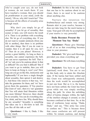who've caught your eye, do not look at women, do not touch them. If you have touched a woman, then you should do *pratikraman* in your mind, [with the intent], 'Oh no, why did I touch her!' This is because all the effects of sexuality arise through touch.

Why don't you simply let go of sexuality! If you let go of sexuality, then sooner or later, you will receive the result of it. There is no problem with everything else. We let go of everything else. If you do not want to wander aimlessly [from one life to another], then there is no problem with other things. But if you do want to wander, then it is all open for you, isn't it? Then do as you please! However, it carries a great liability. As long as there is sexuality, one cannot experience the Self, one can never experience the Self. That is all 'we' ask you to be cautious about. Is that so difficult? Do you find it difficult? But if you want to go to *moksha*, then you will have to keep on fixing it, won't you? How long can you go on like this, insincerely and haphazardly? If you have a single thought about sexuality, then uproot it and destroy it. And those who remove it that way, 'we' take the guarantee for them, and 'we' have given them the guarantee. If You practice this *Gnan* of 'ours', then it is 'our' guarantee that You will attain final liberation within one more lifetime! However, there should be no sexuality. You can do everything else. Eat, drink, and have fun. Why should there be any sexuality? Sexuality is something that takes one to a life-form in hell. Do you like all this talk or not?

**Questioner:** I like it, Dada. I like it very much.

**Dadashri:** So this is the only thing that one has to be cautious about in our *Gnan*, there is no need to be cautious about anything else.

Nurture the intention for *brahmacharya* and remain very strong. Remain alert in your resolve, because it does not take long for the merit karma to wane. Your goal will only be accomplished if your resolve is very powerful.

#### **Dada Becomes Present the Moment You Say 'Dada'**

**Questioner:** Please give blessings to all of us so that everything becomes clear in your presence.

**Dadashri:** 'We' give such blessings, provided you clean everything up!

**Questioner:** We will clean everything up.

**Dadashri:** You have to get Your [spiritual] work done. You are to use up this body only to attain the Absolute state. If the karma had been settled and this *Gnan* was subsequently attained, then the work would be accomplished in just one hour. But as it is, the karma have not been settled; the *Gnan* has been given while one was simply strolling along the path. So when the unfolding effect of karma changes within, the light of the intellect changes it around, so one becomes confused at that time. So, at the time of confusion, keep saying, "Dada, Dada," and say, "This army has come to confuse me." This is because those that cause confusion are still present within. So remain cautious, and during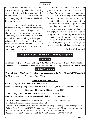that time, take the shelter of the *Gnani Purush* extensively. There is no telling when difficulties will be encountered, but at that time, ask for Dada's help, pull the 'emergency chain', and so Dada will become present.

It is not worth wasting even a moment any longer. Such an opportunity will not come again and again. So You should get Your [spiritual] work done. Therefore, if You maintain *jagruti* here, then all the karma will get destroyed to ashes, and You will attain final liberation after just one more lifetime. *Moksha* is actually straightforward, it is natural and spontaneous, it is easy.

For the one who wants to See the grandeur of the pure Soul, the vow of *brahmacharya* is extremely beneficial. 'We', too, will give help in the relative for only this one vow; otherwise, 'we' do not meddle in anything else. If there is anything that is truly helpful for this *Gnan*, then it is indeed *brahmacharya*. If you practice *brahmacharya*, then you will enjoy the bliss that even the celestial beings do not have, and if you are not able to practice it and you slip in the middle, then you will be finished! The vow of *brahmacharya* is a great vow, and a special experience of the Self happens through it!

#### **~ Jai Sat Chit Anand**

#### Atmagnani Pujya Deepakbhai's Satsang Programs

### **Vadodara**

**12 March** (Sat), 7 to 10 pm - **Satsang & 13 March** (Sun), 5-30 to 9 pm - **Gnan Vidhi Venue :** Ambalal Park Garba Ground, B/h H P Petrol Pump, Karelibaug, Vadodara. **Ph. :** 9998974956

#### **Adalaj Trimandir**

**19 March** (Sat), 4-30 to 7 pm - **Special program on occasion of the Pujya Niruma's 16th Punyatithi 20 March** (Sun), 4 to 7-30 pm - **Gnan Vidhi**

#### **PMHT Shibir - Year 2022**

**8 to 12 May** (Sun-Thu), - **Time to be Announced**

**Note :** This *shibir* is specially arranged for married *mahatmas* only, for those who have taken *Atma Gnan*.

#### **Spiritual Retreat in Hindi - Year 2022**

#### **18 to 22 May - Spiritual Discourses & 21 May (Gnan Vidhi)**

**Note :** This retreat is specially for Non-Gujarati, Hindi Speaking people in India.

**Owned by : Mahavideh Foundation** Simandhar City, Adalaj - 382421, Dist-Gandhinagar.

© 2022, Dada Bhagwan Foundation. All Rights Reserved.

**Contacts : Adalaj Trimandir**, Simandhar City, Ahmedabad-Kalol Highway, **Adalaj**, Dist. **:** Gandhinagar-382421, **Gujarat, India**. **PH. :** 9328661166-77, **E-MAIL:** DADAVANI@DADABHAGWAN.ORG **WEB :** WWW.DADABHAGWAN.ORG **Mumbai :** 9323528901, **USA-Canada :** +1 877-505-3232, **UK :** +44 330-111-3232 **Australia :** +61 402179706, **Kenya :** +254 722 722 063, **Germany :** +49 700 32327474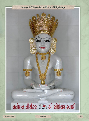